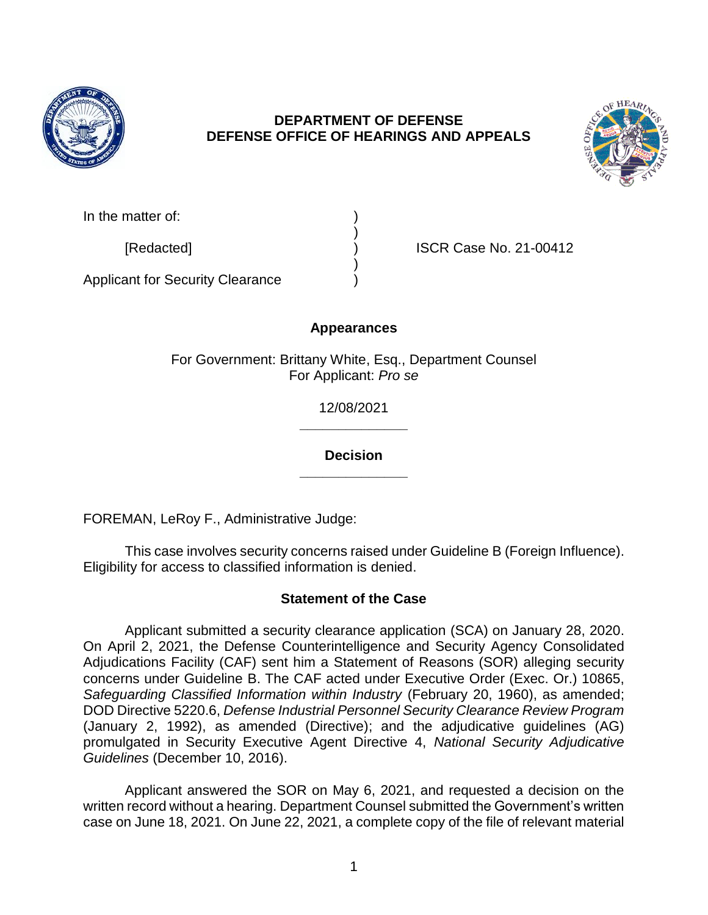

## **DEPARTMENT OF DEFENSE DEFENSE OFFICE OF HEARINGS AND APPEALS**



| In the matter of: |  |
|-------------------|--|
|-------------------|--|

[Redacted] ) ISCR Case No. 21-00412

Applicant for Security Clearance )

# **Appearances**

)

)

For Government: Brittany White, Esq., Department Counsel For Applicant: *Pro se* 

> **\_\_\_\_\_\_\_\_\_\_\_\_\_\_**  12/08/2021

> **\_\_\_\_\_\_\_\_\_\_\_\_\_\_ Decision**

FOREMAN, LeRoy F., Administrative Judge:

 This case involves security concerns raised under Guideline B (Foreign Influence). Eligibility for access to classified information is denied.

# **Statement of the Case**

 Applicant submitted a security clearance application (SCA) on January 28, 2020. On April 2, 2021, the Defense Counterintelligence and Security Agency Consolidated Adjudications Facility (CAF) sent him a Statement of Reasons (SOR) alleging security Safeguarding Classified Information within Industry (February 20, 1960), as amended;  DOD Directive 5220.6, *Defense Industrial Personnel Security Clearance Review Program*  (January 2, 1992), as amended (Directive); and the adjudicative guidelines (AG) promulgated in Security Executive Agent Directive 4, *National Security Adjudicative*  concerns under Guideline B. The CAF acted under Executive Order (Exec. Or.) 10865, *Guidelines* (December 10, 2016).

 Applicant answered the SOR on May 6, 2021, and requested a decision on the case on June 18, 2021. On June 22, 2021, a complete copy of the file of relevant material written record without a hearing. Department Counsel submitted the Government's written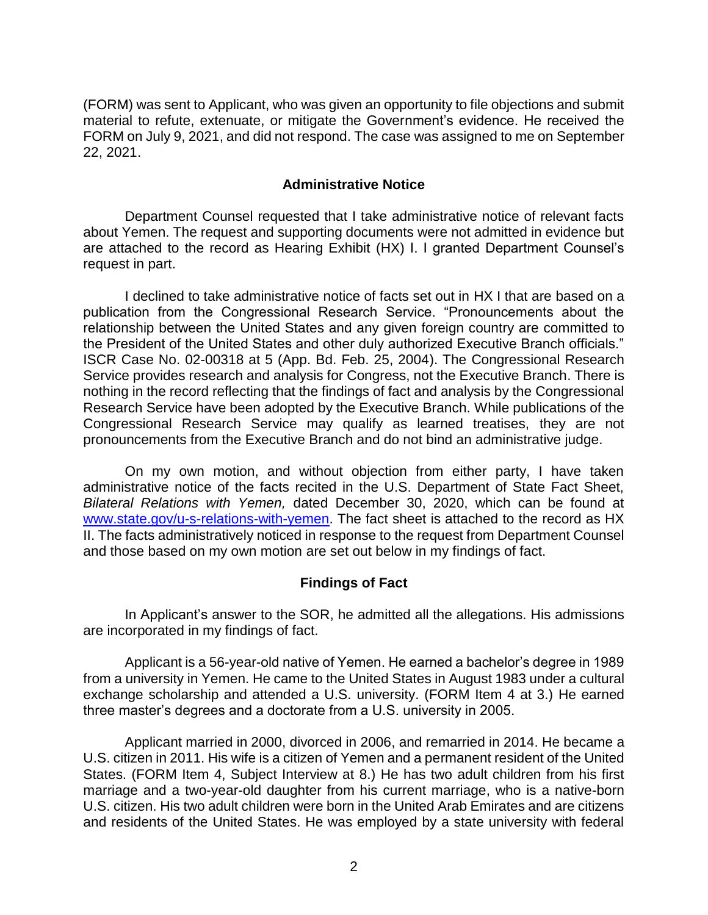(FORM) was sent to Applicant, who was given an opportunity to file objections and submit material to refute, extenuate, or mitigate the Government's evidence. He received the FORM on July 9, 2021, and did not respond. The case was assigned to me on September 22, 2021.

### **Administrative Notice**

 Department Counsel requested that I take administrative notice of relevant facts about Yemen. The request and supporting documents were not admitted in evidence but are attached to the record as Hearing Exhibit (HX) I. I granted Department Counsel's request in part.

I declined to take administrative notice of facts set out in HX I that are based on a publication from the Congressional Research Service. "Pronouncements about the relationship between the United States and any given foreign country are committed to the President of the United States and other duly authorized Executive Branch officials." ISCR Case No. 02-00318 at 5 (App. Bd. Feb. 25, 2004). The Congressional Research Service provides research and analysis for Congress, not the Executive Branch. There is nothing in the record reflecting that the findings of fact and analysis by the Congressional Research Service have been adopted by the Executive Branch. While publications of the Congressional Research Service may qualify as learned treatises, they are not pronouncements from the Executive Branch and do not bind an administrative judge.

 On my own motion, and without objection from either party, I have taken administrative notice of the facts recited in the U.S. Department of State Fact Sheet, *Bilateral Relations with Yemen,* dated December 30, 2020, which can be found at [www.state.gov/u-s-relations-with-yemen.](http://www.state.gov/u-s-relations-with-yemen) The fact sheet is attached to the record as HX II. The facts administratively noticed in response to the request from Department Counsel and those based on my own motion are set out below in my findings of fact.

## **Findings of Fact**

 In Applicant's answer to the SOR, he admitted all the allegations. His admissions are incorporated in my findings of fact.

 Applicant is a 56-year-old native of Yemen. He earned a bachelor's degree in 1989 from a university in Yemen. He came to the United States in August 1983 under a cultural exchange scholarship and attended a U.S. university. (FORM Item 4 at 3.) He earned three master's degrees and a doctorate from a U.S. university in 2005.

Applicant married in 2000, divorced in 2006, and remarried in 2014. He became a U.S. citizen in 2011. His wife is a citizen of Yemen and a permanent resident of the United States. (FORM Item 4, Subject Interview at 8.) He has two adult children from his first marriage and a two-year-old daughter from his current marriage, who is a native-born U.S. citizen. His two adult children were born in the United Arab Emirates and are citizens and residents of the United States. He was employed by a state university with federal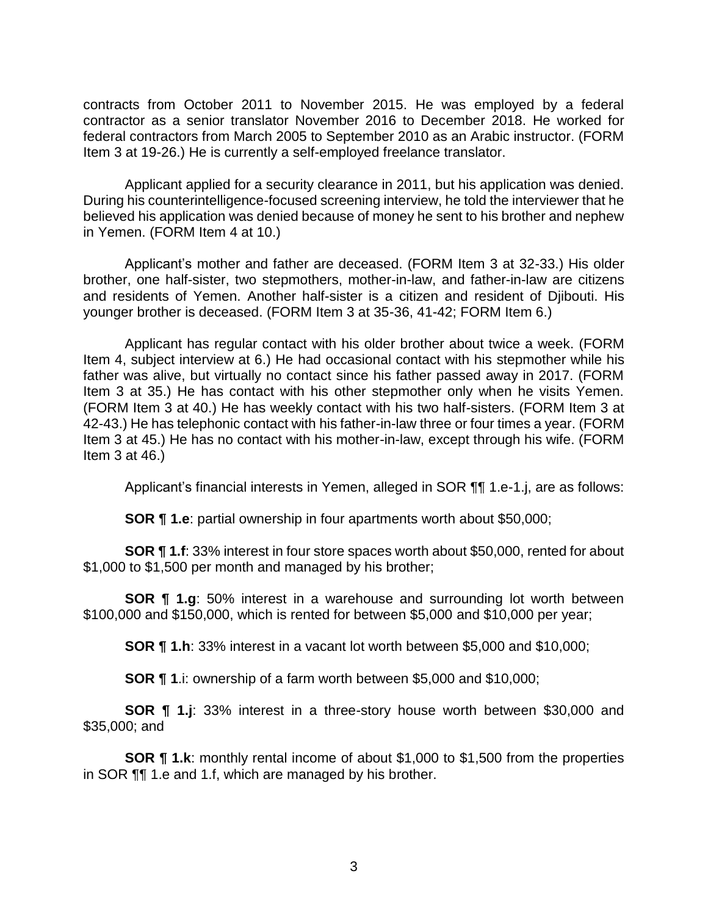contracts from October 2011 to November 2015. He was employed by a federal contractor as a senior translator November 2016 to December 2018. He worked for federal contractors from March 2005 to September 2010 as an Arabic instructor. (FORM Item 3 at 19-26.) He is currently a self-employed freelance translator.

 During his counterintelligence-focused screening interview, he told the interviewer that he believed his application was denied because of money he sent to his brother and nephew Applicant applied for a security clearance in 2011, but his application was denied. in Yemen. (FORM Item 4 at 10.)

 Applicant's mother and father are deceased. (FORM Item 3 at 32-33.) His older and residents of Yemen. Another half-sister is a citizen and resident of Djibouti. His younger brother is deceased. (FORM Item 3 at 35-36, 41-42; FORM Item 6.) brother, one half-sister, two stepmothers, mother-in-law, and father-in-law are citizens

 Applicant has regular contact with his older brother about twice a week. (FORM father was alive, but virtually no contact since his father passed away in 2017. (FORM Item 3 at 35.) He has contact with his other stepmother only when he visits Yemen. (FORM Item 3 at 40.) He has weekly contact with his two half-sisters. (FORM Item 3 at 42-43.) He has telephonic contact with his father-in-law three or four times a year. (FORM Item 3 at 45.) He has no contact with his mother-in-law, except through his wife. (FORM Item 4, subject interview at 6.) He had occasional contact with his stepmother while his Item 3 at 46.)

Applicant's financial interests in Yemen, alleged in SOR ¶¶ 1.e-1.j, are as follows:

**SOR ¶ 1.e**: partial ownership in four apartments worth about \$50,000;

 **SOR ¶ 1.f**: 33% interest in four store spaces worth about \$50,000, rented for about \$1,000 to \$1,500 per month and managed by his brother;

 **SOR ¶ 1.g**: 50% interest in a warehouse and surrounding lot worth between \$100,000 and \$150,000, which is rented for between \$5,000 and \$10,000 per year;

**SOR ¶ 1.h**: 33% interest in a vacant lot worth between \$5,000 and \$10,000;

**SOR ¶ 1**.i: ownership of a farm worth between \$5,000 and \$10,000;

 **SOR ¶ 1.j**: 33% interest in a three-story house worth between \$30,000 and \$35,000; and

 **SOR ¶ 1.k**: monthly rental income of about \$1,000 to \$1,500 from the properties in SOR ¶¶ 1.e and 1.f, which are managed by his brother.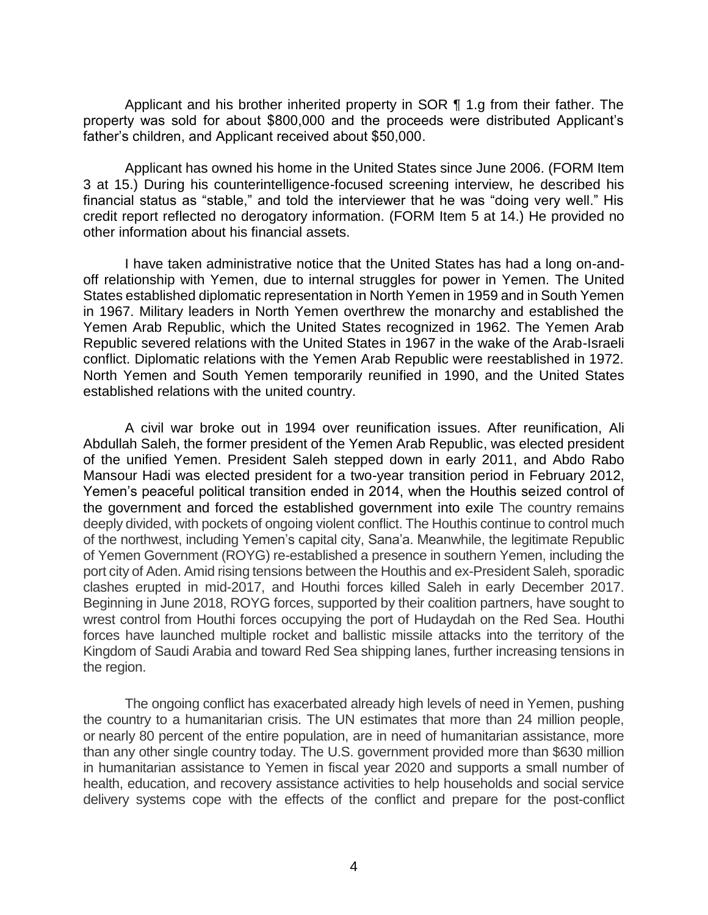Applicant and his brother inherited property in SOR 1 1.g from their father. The property was sold for about \$800,000 and the proceeds were distributed Applicant's father's children, and Applicant received about \$50,000.

 Applicant has owned his home in the United States since June 2006. (FORM Item 3 at 15.) During his counterintelligence-focused screening interview, he described his financial status as "stable," and told the interviewer that he was "doing very well." His credit report reflected no derogatory information. (FORM Item 5 at 14.) He provided no other information about his financial assets.

 I have taken administrative notice that the United States has had a long on-and- off relationship with Yemen, due to internal struggles for power in Yemen. The United States established diplomatic representation in North Yemen in 1959 and in South Yemen in 1967. Military leaders in North Yemen overthrew the monarchy and established the Yemen Arab Republic, which the United States recognized in 1962. The Yemen Arab Republic severed relations with the United States in 1967 in the wake of the Arab-Israeli conflict. Diplomatic relations with the Yemen Arab Republic were reestablished in 1972. North Yemen and South Yemen temporarily reunified in 1990, and the United States established relations with the united country.

 A civil war broke out in 1994 over reunification issues. After reunification, Ali Abdullah Saleh, the former president of the Yemen Arab Republic, was elected president of the unified Yemen. President Saleh stepped down in early 2011, and Abdo Rabo Mansour Hadi was elected president for a two-year transition period in February 2012, Yemen's peaceful political transition ended in 2014, when the Houthis seized control of the government and forced the established government into exile The country remains deeply divided, with pockets of ongoing violent conflict. The Houthis continue to control much of the northwest, including Yemen's capital city, Sana'a. Meanwhile, the legitimate Republic of Yemen Government (ROYG) re-established a presence in southern Yemen, including the port city of Aden. Amid rising tensions between the Houthis and ex-President Saleh, sporadic clashes erupted in mid-2017, and Houthi forces killed Saleh in early December 2017. Beginning in June 2018, ROYG forces, supported by their coalition partners, have sought to wrest control from Houthi forces occupying the port of Hudaydah on the Red Sea. Houthi forces have launched multiple rocket and ballistic missile attacks into the territory of the Kingdom of Saudi Arabia and toward Red Sea shipping lanes, further increasing tensions in the region.

 The ongoing conflict has exacerbated already high levels of need in Yemen, pushing the country to a humanitarian crisis. The UN estimates that more than 24 million people, or nearly 80 percent of the entire population, are in need of humanitarian assistance, more than any other single country today. The U.S. government provided more than \$630 million in humanitarian assistance to Yemen in fiscal year 2020 and supports a small number of health, education, and recovery assistance activities to help households and social service delivery systems cope with the effects of the conflict and prepare for the post-conflict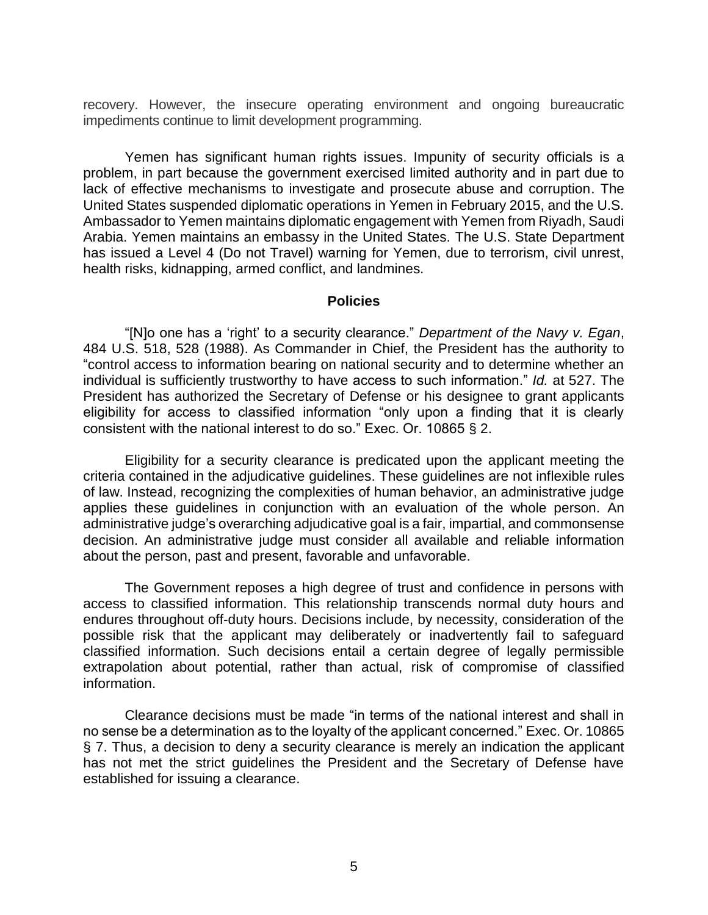recovery. However, the insecure operating environment and ongoing bureaucratic impediments continue to limit development programming.

 Yemen has significant human rights issues. Impunity of security officials is a problem, in part because the government exercised limited authority and in part due to lack of effective mechanisms to investigate and prosecute abuse and corruption. The United States suspended diplomatic operations in Yemen in February 2015, and the U.S. Ambassador to Yemen maintains diplomatic engagement with Yemen from Riyadh, Saudi Arabia. Yemen maintains an embassy in the United States. The U.S. State Department has issued a Level 4 (Do not Travel) warning for Yemen, due to terrorism, civil unrest, health risks, kidnapping, armed conflict, and landmines.

#### **Policies**

 "[N]o one has a 'right' to a security clearance." *Department of the Navy v. Egan*, 484 U.S. 518, 528 (1988). As Commander in Chief, the President has the authority to "control access to information bearing on national security and to determine whether an individual is sufficiently trustworthy to have access to such information." *Id.* at 527. The President has authorized the Secretary of Defense or his designee to grant applicants eligibility for access to classified information "only upon a finding that it is clearly consistent with the national interest to do so." Exec. Or. 10865 § 2.

 Eligibility for a security clearance is predicated upon the applicant meeting the criteria contained in the adjudicative guidelines. These guidelines are not inflexible rules applies these guidelines in conjunction with an evaluation of the whole person. An administrative judge's overarching adjudicative goal is a fair, impartial, and commonsense about the person, past and present, favorable and unfavorable. of law. Instead, recognizing the complexities of human behavior, an administrative judge decision. An administrative judge must consider all available and reliable information

 The Government reposes a high degree of trust and confidence in persons with access to classified information. This relationship transcends normal duty hours and endures throughout off-duty hours. Decisions include, by necessity, consideration of the possible risk that the applicant may deliberately or inadvertently fail to safeguard classified information. Such decisions entail a certain degree of legally permissible extrapolation about potential, rather than actual, risk of compromise of classified information.

 Clearance decisions must be made "in terms of the national interest and shall in no sense be a determination as to the loyalty of the applicant concerned." Exec. Or. 10865 § 7. Thus, a decision to deny a security clearance is merely an indication the applicant has not met the strict guidelines the President and the Secretary of Defense have established for issuing a clearance.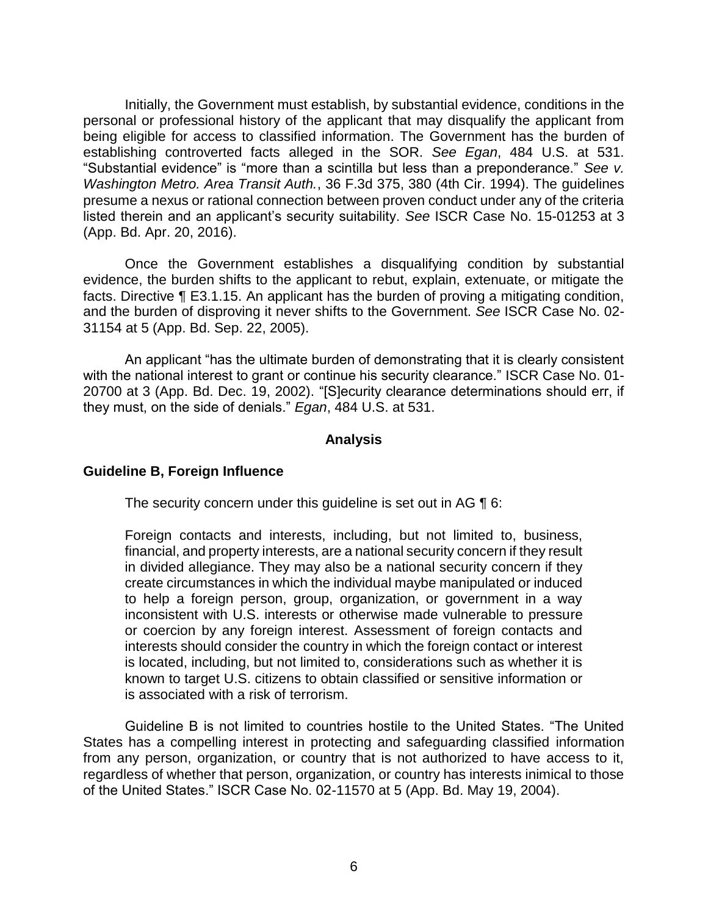Initially, the Government must establish, by substantial evidence, conditions in the personal or professional history of the applicant that may disqualify the applicant from being eligible for access to classified information. The Government has the burden of establishing controverted facts alleged in the SOR. *See Egan*, 484 U.S. at 531. "Substantial evidence" is "more than a scintilla but less than a preponderance." *See v. Washington Metro. Area Transit Auth.*, 36 F.3d 375, 380 (4th Cir. 1994). The guidelines presume a nexus or rational connection between proven conduct under any of the criteria listed therein and an applicant's security suitability. *See* ISCR Case No. 15-01253 at 3 (App. Bd. Apr. 20, 2016).

Once the Government establishes a disqualifying condition by substantial evidence, the burden shifts to the applicant to rebut, explain, extenuate, or mitigate the facts. Directive ¶ E3.1.15. An applicant has the burden of proving a mitigating condition, and the burden of disproving it never shifts to the Government. *See* ISCR Case No. 02- 31154 at 5 (App. Bd. Sep. 22, 2005).

An applicant "has the ultimate burden of demonstrating that it is clearly consistent with the national interest to grant or continue his security clearance." ISCR Case No. 01- 20700 at 3 (App. Bd. Dec. 19, 2002). "[S]ecurity clearance determinations should err, if they must, on the side of denials." *Egan*, 484 U.S. at 531.

#### **Analysis**

## **Guideline B, Foreign Influence**

The security concern under this quideline is set out in AG ¶ 6:

 Foreign contacts and interests, including, but not limited to, business, financial, and property interests, are a national security concern if they result in divided allegiance. They may also be a national security concern if they create circumstances in which the individual maybe manipulated or induced to help a foreign person, group, organization, or government in a way inconsistent with U.S. interests or otherwise made vulnerable to pressure or coercion by any foreign interest. Assessment of foreign contacts and interests should consider the country in which the foreign contact or interest known to target U.S. citizens to obtain classified or sensitive information or is located, including, but not limited to, considerations such as whether it is is associated with a risk of terrorism.

Guideline B is not limited to countries hostile to the United States. "The United States has a compelling interest in protecting and safeguarding classified information from any person, organization, or country that is not authorized to have access to it, regardless of whether that person, organization, or country has interests inimical to those of the United States." ISCR Case No. 02-11570 at 5 (App. Bd. May 19, 2004).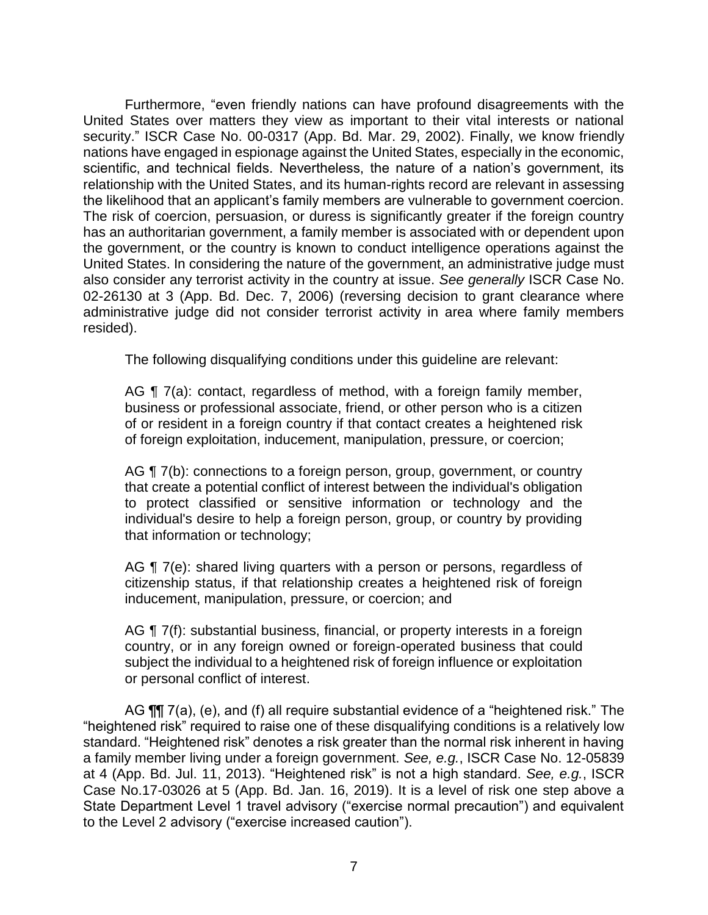Furthermore, "even friendly nations can have profound disagreements with the United States over matters they view as important to their vital interests or national security." ISCR Case No. 00-0317 (App. Bd. Mar. 29, 2002). Finally, we know friendly nations have engaged in espionage against the United States, especially in the economic, scientific, and technical fields. Nevertheless, the nature of a nation's government, its relationship with the United States, and its human-rights record are relevant in assessing the likelihood that an applicant's family members are vulnerable to government coercion. The risk of coercion, persuasion, or duress is significantly greater if the foreign country has an authoritarian government, a family member is associated with or dependent upon the government, or the country is known to conduct intelligence operations against the United States. In considering the nature of the government, an administrative judge must also consider any terrorist activity in the country at issue. *See generally* ISCR Case No. 02-26130 at 3 (App. Bd. Dec. 7, 2006) (reversing decision to grant clearance where administrative judge did not consider terrorist activity in area where family members resided).

The following disqualifying conditions under this guideline are relevant:

AG ¶ 7(a): contact, regardless of method, with a foreign family member, business or professional associate, friend, or other person who is a citizen of or resident in a foreign country if that contact creates a heightened risk of foreign exploitation, inducement, manipulation, pressure, or coercion;

AG ¶ 7(b): connections to a foreign person, group, government, or country that create a potential conflict of interest between the individual's obligation to protect classified or sensitive information or technology and the individual's desire to help a foreign person, group, or country by providing that information or technology;

AG ¶ 7(e): shared living quarters with a person or persons, regardless of citizenship status, if that relationship creates a heightened risk of foreign inducement, manipulation, pressure, or coercion; and

AG ¶ 7(f): substantial business, financial, or property interests in a foreign country, or in any foreign owned or foreign-operated business that could subject the individual to a heightened risk of foreign influence or exploitation or personal conflict of interest.

AG ¶¶ 7(a), (e), and (f) all require substantial evidence of a "heightened risk." The "heightened risk" required to raise one of these disqualifying conditions is a relatively low standard. "Heightened risk" denotes a risk greater than the normal risk inherent in having a family member living under a foreign government. *See, e.g.*, ISCR Case No. 12-05839 at 4 (App. Bd. Jul. 11, 2013). "Heightened risk" is not a high standard. *See, e.g.*, ISCR Case No.17-03026 at 5 (App. Bd. Jan. 16, 2019). It is a level of risk one step above a State Department Level 1 travel advisory ("exercise normal precaution") and equivalent to the Level 2 advisory ("exercise increased caution").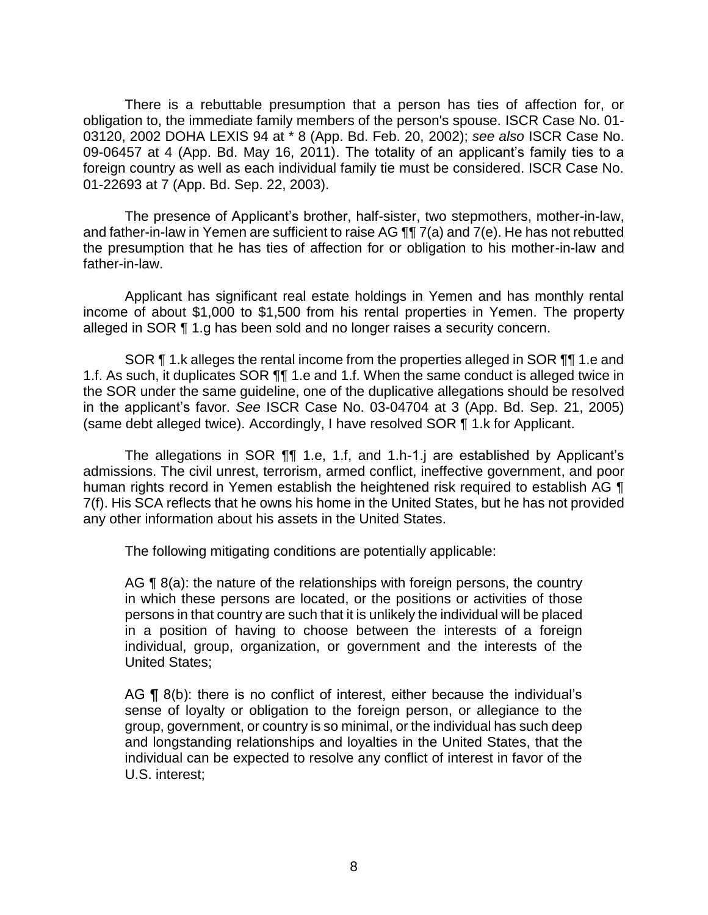There is a rebuttable presumption that a person has ties of affection for, or obligation to, the immediate family members of the person's spouse. ISCR Case No. 01- 03120, 2002 DOHA LEXIS 94 at \* 8 (App. Bd. Feb. 20, 2002); *see also* ISCR Case No. 09-06457 at 4 (App. Bd. May 16, 2011). The totality of an applicant's family ties to a foreign country as well as each individual family tie must be considered. ISCR Case No. 01-22693 at 7 (App. Bd. Sep. 22, 2003).

 The presence of Applicant's brother, half-sister, two stepmothers, mother-in-law, and father-in-law in Yemen are sufficient to raise AG ¶¶ 7(a) and 7(e). He has not rebutted the presumption that he has ties of affection for or obligation to his mother-in-law and father-in-law.

 Applicant has significant real estate holdings in Yemen and has monthly rental income of about \$1,000 to \$1,500 from his rental properties in Yemen. The property alleged in SOR ¶ 1.g has been sold and no longer raises a security concern.

SOR ¶ 1.k alleges the rental income from the properties alleged in SOR ¶¶ 1.e and 1.f. As such, it duplicates SOR ¶¶ 1.e and 1.f. When the same conduct is alleged twice in the SOR under the same guideline, one of the duplicative allegations should be resolved in the applicant's favor. *See* ISCR Case No. 03-04704 at 3 (App. Bd. Sep. 21, 2005) (same debt alleged twice). Accordingly, I have resolved SOR ¶ 1.k for Applicant.

 The allegations in SOR ¶¶ 1.e, 1.f, and 1.h-1.j are established by Applicant's admissions. The civil unrest, terrorism, armed conflict, ineffective government, and poor human rights record in Yemen establish the heightened risk required to establish AG  $\P$  7(f). His SCA reflects that he owns his home in the United States, but he has not provided any other information about his assets in the United States.

The following mitigating conditions are potentially applicable:

AG  $\P$  8(a): the nature of the relationships with foreign persons, the country in which these persons are located, or the positions or activities of those persons in that country are such that it is unlikely the individual will be placed in a position of having to choose between the interests of a foreign individual, group, organization, or government and the interests of the United States;

AG ¶ 8(b): there is no conflict of interest, either because the individual's sense of loyalty or obligation to the foreign person, or allegiance to the group, government, or country is so minimal, or the individual has such deep and longstanding relationships and loyalties in the United States, that the individual can be expected to resolve any conflict of interest in favor of the U.S. interest;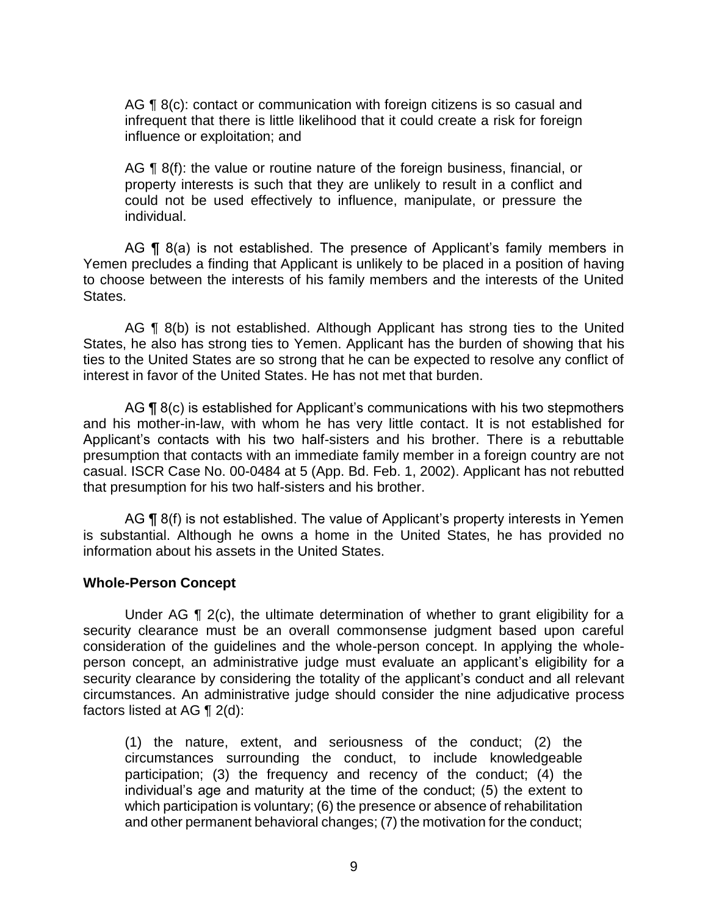AG ¶ 8(c): contact or communication with foreign citizens is so casual and infrequent that there is little likelihood that it could create a risk for foreign influence or exploitation; and

AG ¶ 8(f): the value or routine nature of the foreign business, financial, or property interests is such that they are unlikely to result in a conflict and could not be used effectively to influence, manipulate, or pressure the individual.

AG ¶ 8(a) is not established. The presence of Applicant's family members in Yemen precludes a finding that Applicant is unlikely to be placed in a position of having to choose between the interests of his family members and the interests of the United States.

 AG ¶ 8(b) is not established. Although Applicant has strong ties to the United States, he also has strong ties to Yemen. Applicant has the burden of showing that his ties to the United States are so strong that he can be expected to resolve any conflict of interest in favor of the United States. He has not met that burden.

AG ¶ 8(c) is established for Applicant's communications with his two stepmothers and his mother-in-law, with whom he has very little contact. It is not established for Applicant's contacts with his two half-sisters and his brother. There is a rebuttable presumption that contacts with an immediate family member in a foreign country are not casual. ISCR Case No. 00-0484 at 5 (App. Bd. Feb. 1, 2002). Applicant has not rebutted that presumption for his two half-sisters and his brother.

AG ¶ 8(f) is not established. The value of Applicant's property interests in Yemen is substantial. Although he owns a home in the United States, he has provided no information about his assets in the United States.

#### **Whole-Person Concept**

Under AG ¶ 2(c), the ultimate determination of whether to grant eligibility for a security clearance must be an overall commonsense judgment based upon careful consideration of the guidelines and the whole-person concept. In applying the whole- person concept, an administrative judge must evaluate an applicant's eligibility for a security clearance by considering the totality of the applicant's conduct and all relevant circumstances. An administrative judge should consider the nine adjudicative process factors listed at AG ¶ 2(d):

(1) the nature, extent, and seriousness of the conduct; (2) the circumstances surrounding the conduct, to include knowledgeable participation; (3) the frequency and recency of the conduct; (4) the individual's age and maturity at the time of the conduct; (5) the extent to which participation is voluntary; (6) the presence or absence of rehabilitation and other permanent behavioral changes; (7) the motivation for the conduct;